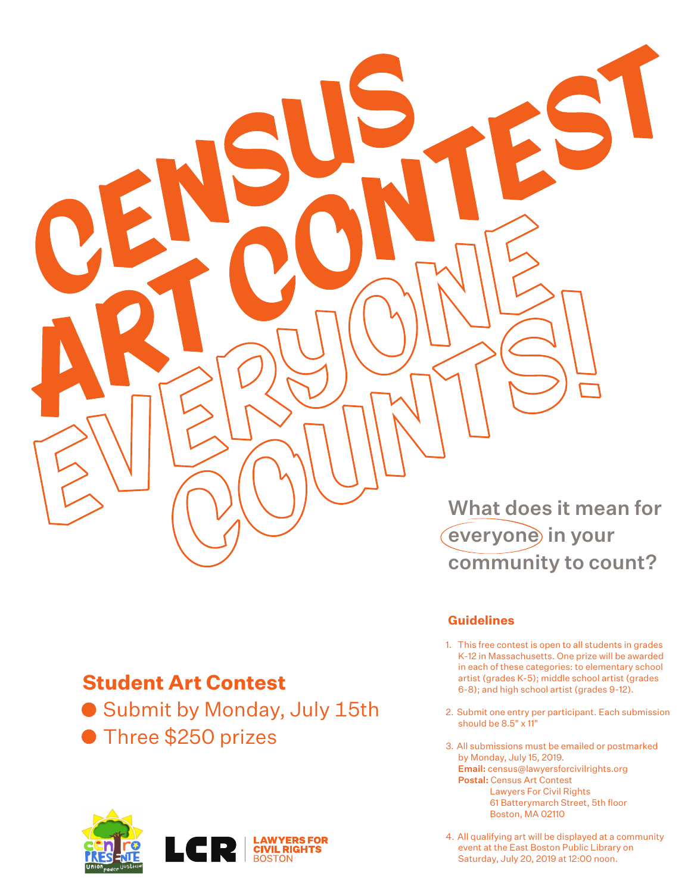

## **Student Art Contest**

● Submit by Monday, July 15th

**Three \$250 prizes** 



community to count?

## **Guidelines**

- 1. This free contest is open to all students in grades K-12 in Massachusetts. One prize will be awarded in each of these categories: to elementary school artist (grades K-5); middle school artist (grades 6-8); and high school artist (grades 9-12).
- 2. Submit one entry per participant. Each submission should be 8.5" x 11"
- 3. All submissions must be emailed or postmarked by Monday, July 15, 2019. Email: census@lawyersforcivilrights.org Postal: Census Art Contest Lawyers For Civil Rights 61 Batterymarch Street, 5th floor Boston, MA 02110
- 4. All qualifying art will be displayed at a community event at the East Boston Public Library on Saturday, July 20, 2019 at 12:00 noon.